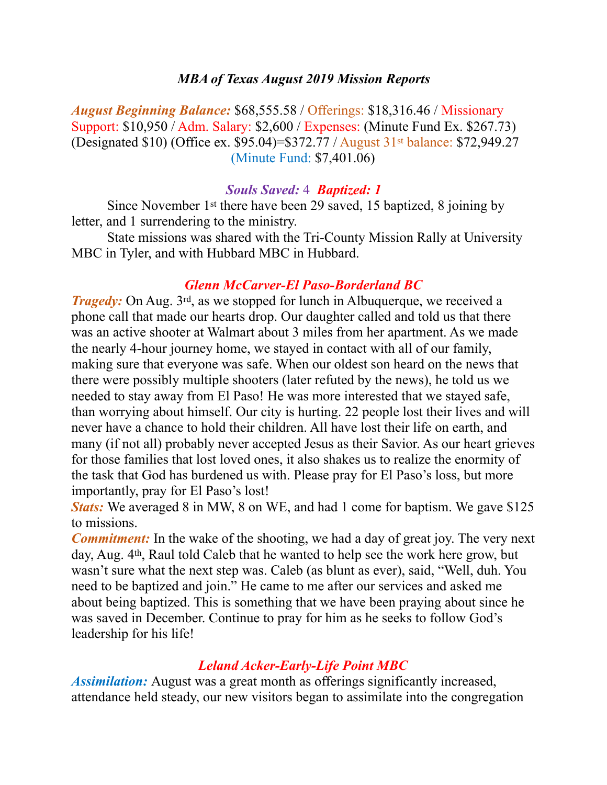### *MBA of Texas August 2019 Mission Reports*

*August Beginning Balance:* \$68,555.58 / Offerings: \$18,316.46 / Missionary Support: \$10,950 / Adm. Salary: \$2,600 / Expenses: (Minute Fund Ex. \$267.73) (Designated \$10) (Office ex. \$95.04)=\$372.77 / August 31st balance: \$72,949.27 (Minute Fund: \$7,401.06)

### *Souls Saved:* 4 *Baptized: 1*

 Since November 1st there have been 29 saved, 15 baptized, 8 joining by letter, and 1 surrendering to the ministry.

 State missions was shared with the Tri-County Mission Rally at University MBC in Tyler, and with Hubbard MBC in Hubbard.

## *Glenn McCarver-El Paso-Borderland BC*

*Tragedy:* On Aug. 3<sup>rd</sup>, as we stopped for lunch in Albuquerque, we received a phone call that made our hearts drop. Our daughter called and told us that there was an active shooter at Walmart about 3 miles from her apartment. As we made the nearly 4-hour journey home, we stayed in contact with all of our family, making sure that everyone was safe. When our oldest son heard on the news that there were possibly multiple shooters (later refuted by the news), he told us we needed to stay away from El Paso! He was more interested that we stayed safe, than worrying about himself. Our city is hurting. 22 people lost their lives and will never have a chance to hold their children. All have lost their life on earth, and many (if not all) probably never accepted Jesus as their Savior. As our heart grieves for those families that lost loved ones, it also shakes us to realize the enormity of the task that God has burdened us with. Please pray for El Paso's loss, but more importantly, pray for El Paso's lost!

*Stats:* We averaged 8 in MW, 8 on WE, and had 1 come for baptism. We gave \$125 to missions.

*Commitment:* In the wake of the shooting, we had a day of great joy. The very next day, Aug. 4<sup>th</sup>, Raul told Caleb that he wanted to help see the work here grow, but wasn't sure what the next step was. Caleb (as blunt as ever), said, "Well, duh. You need to be baptized and join." He came to me after our services and asked me about being baptized. This is something that we have been praying about since he was saved in December. Continue to pray for him as he seeks to follow God's leadership for his life!

## *Leland Acker-Early-Life Point MBC*

*Assimilation:* August was a great month as offerings significantly increased, attendance held steady, our new visitors began to assimilate into the congregation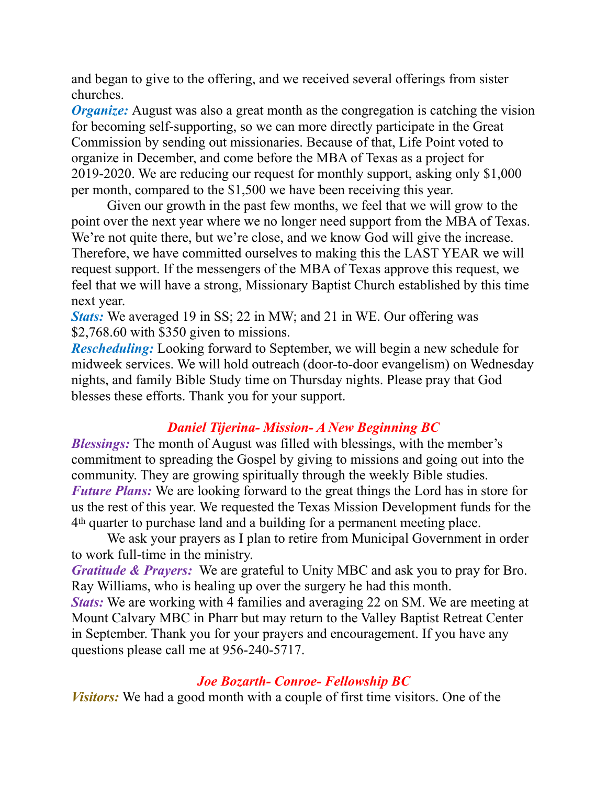and began to give to the offering, and we received several offerings from sister churches.

*Organize:* August was also a great month as the congregation is catching the vision for becoming self-supporting, so we can more directly participate in the Great Commission by sending out missionaries. Because of that, Life Point voted to organize in December, and come before the MBA of Texas as a project for 2019-2020. We are reducing our request for monthly support, asking only \$1,000 per month, compared to the \$1,500 we have been receiving this year.

 Given our growth in the past few months, we feel that we will grow to the point over the next year where we no longer need support from the MBA of Texas. We're not quite there, but we're close, and we know God will give the increase. Therefore, we have committed ourselves to making this the LAST YEAR we will request support. If the messengers of the MBA of Texas approve this request, we feel that we will have a strong, Missionary Baptist Church established by this time next year.

*Stats:* We averaged 19 in SS; 22 in MW; and 21 in WE. Our offering was \$2,768.60 with \$350 given to missions.

*Rescheduling:* Looking forward to September, we will begin a new schedule for midweek services. We will hold outreach (door-to-door evangelism) on Wednesday nights, and family Bible Study time on Thursday nights. Please pray that God blesses these efforts. Thank you for your support.

# *Daniel Tijerina- Mission- A New Beginning BC*

*Blessings:* The month of August was filled with blessings, with the member's commitment to spreading the Gospel by giving to missions and going out into the community. They are growing spiritually through the weekly Bible studies. *Future Plans:* We are looking forward to the great things the Lord has in store for us the rest of this year. We requested the Texas Mission Development funds for the 4th quarter to purchase land and a building for a permanent meeting place.

 We ask your prayers as I plan to retire from Municipal Government in order to work full-time in the ministry.

*Gratitude & Prayers:* We are grateful to Unity MBC and ask you to pray for Bro. Ray Williams, who is healing up over the surgery he had this month.

*Stats:* We are working with 4 families and averaging 22 on SM. We are meeting at Mount Calvary MBC in Pharr but may return to the Valley Baptist Retreat Center in September. Thank you for your prayers and encouragement. If you have any questions please call me at 956-240-5717.

# *Joe Bozarth- Conroe- Fellowship BC*

*Visitors:* We had a good month with a couple of first time visitors. One of the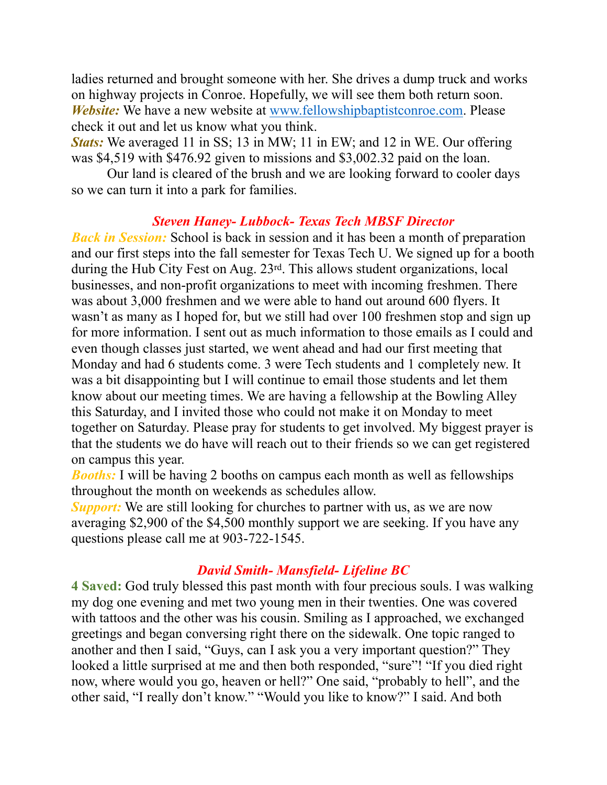ladies returned and brought someone with her. She drives a dump truck and works on highway projects in Conroe. Hopefully, we will see them both return soon. *Website:* We have a new website at [www.fellowshipbaptistconroe.com](http://www.fellowshipbaptistconroe.com). Please check it out and let us know what you think.

*Stats:* We averaged 11 in SS; 13 in MW; 11 in EW; and 12 in WE. Our offering was \$4,519 with \$476.92 given to missions and \$3,002.32 paid on the loan.

 Our land is cleared of the brush and we are looking forward to cooler days so we can turn it into a park for families.

## *Steven Haney- Lubbock- Texas Tech MBSF Director*

*Back in Session:* School is back in session and it has been a month of preparation and our first steps into the fall semester for Texas Tech U. We signed up for a booth during the Hub City Fest on Aug. 23rd. This allows student organizations, local businesses, and non-profit organizations to meet with incoming freshmen. There was about 3,000 freshmen and we were able to hand out around 600 flyers. It wasn't as many as I hoped for, but we still had over 100 freshmen stop and sign up for more information. I sent out as much information to those emails as I could and even though classes just started, we went ahead and had our first meeting that Monday and had 6 students come. 3 were Tech students and 1 completely new. It was a bit disappointing but I will continue to email those students and let them know about our meeting times. We are having a fellowship at the Bowling Alley this Saturday, and I invited those who could not make it on Monday to meet together on Saturday. Please pray for students to get involved. My biggest prayer is that the students we do have will reach out to their friends so we can get registered on campus this year.

*Booths:* I will be having 2 booths on campus each month as well as fellowships throughout the month on weekends as schedules allow.

*Support:* We are still looking for churches to partner with us, as we are now averaging \$2,900 of the \$4,500 monthly support we are seeking. If you have any questions please call me at 903-722-1545.

## *David Smith- Mansfield- Lifeline BC*

**4 Saved:** God truly blessed this past month with four precious souls. I was walking my dog one evening and met two young men in their twenties. One was covered with tattoos and the other was his cousin. Smiling as I approached, we exchanged greetings and began conversing right there on the sidewalk. One topic ranged to another and then I said, "Guys, can I ask you a very important question?" They looked a little surprised at me and then both responded, "sure"! "If you died right now, where would you go, heaven or hell?" One said, "probably to hell", and the other said, "I really don't know." "Would you like to know?" I said. And both